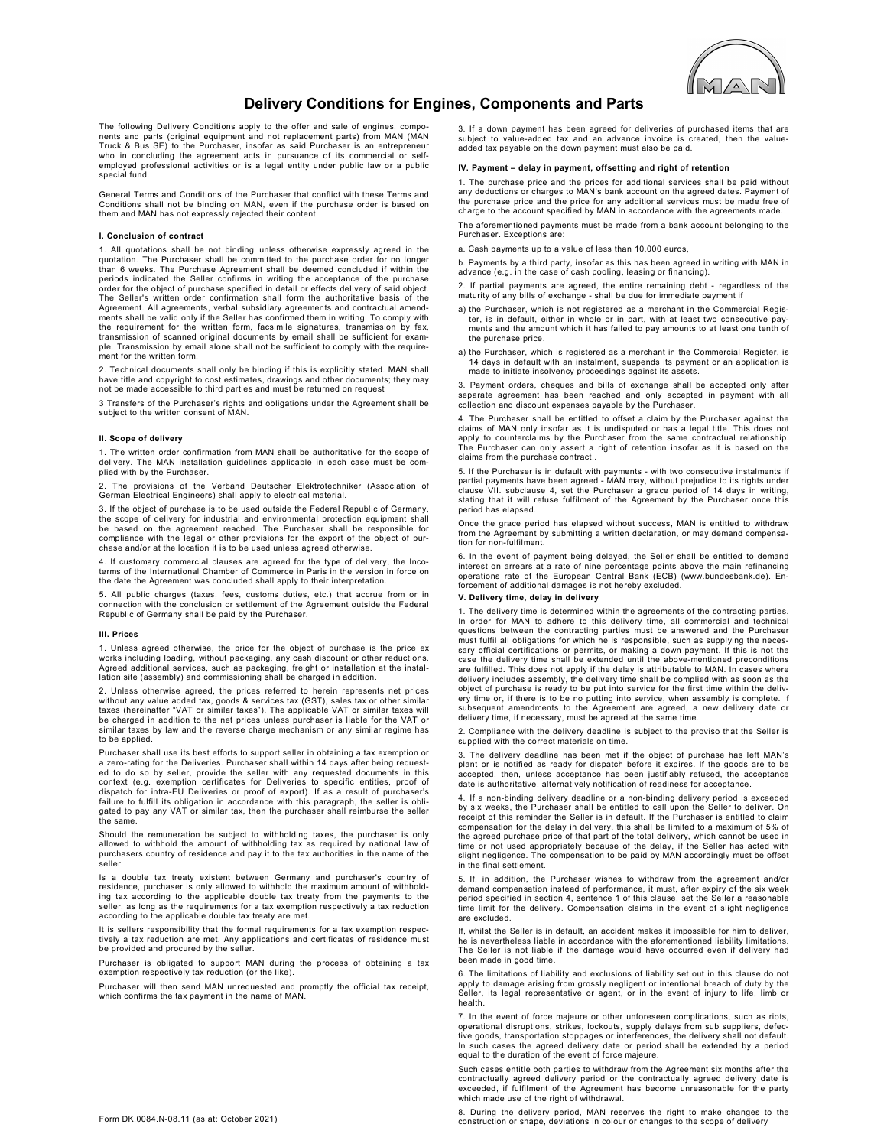

## Delivery Conditions for Engines, Components and Parts

The following Delivery Conditions apply to the offer and sale of engines, components and parts (original equipment and not replacement parts) from MAN (MAN Truck & Bus SE) to the Purchaser, insofar as said Purchaser is an entrepreneur who in concluding the agreement acts in pursuance of its commercial or selfemployed professional activities or is a legal entity under public law or a public special fund.

General Terms and Conditions of the Purchaser that conflict with these Terms and Conditions shall not be binding on MAN, even if the purchase order is based on them and MAN has not expressly rejected their content.

## I. Conclusion of contract

1. All quotations shall be not binding unless otherwise expressly agreed in the quotation. The Purchaser shall be committed to the purchase order for no longer than 6 weeks. The Purchase Agreement shall be deemed concluded if within the<br>periods indicated the Seller confirms in writing the acceptance of the purchase<br>order for the object of purchase specified in detail or effects d The Seller's written order confirmation shall form the authoritative basis of the Agreement. All agreements, verbal subsidiary agreements and contractual amend-ments shall be valid only if the Seller has confirmed them in writing. To comply with the requirement for the written form, facsimile signatures, transmission by fax, transmission of scanned original documents by email shall be sufficient for example. Transmission by email alone shall not be sufficient to comply with the requirement for the written form.

2. Technical documents shall only be binding if this is explicitly stated. MAN shall have title and copyright to cost estimates, drawings and other documents; they may not be made accessible to third parties and must be returned on request

3 Transfers of the Purchaser's rights and obligations under the Agreement shall be subject to the written consent of MAN.

#### II. Scope of delivery

1. The written order confirmation from MAN shall be authoritative for the scope of delivery. The MAN installation guidelines applicable in each case must be complied with by the Purchaser.

2. The provisions of the Verband Deutscher Elektrotechniker (Association of German Electrical Engineers) shall apply to electrical material.

3. If the object of purchase is to be used outside the Federal Republic of Germany, the scope of delivery for industrial and environmental protection equipment shall be based on the agreement reached. The Purchaser shall be responsible for compliance with the legal or other provisions for the export of the object of pur-chase and/or at the location it is to be used unless agreed otherwise.

4. If customary commercial clauses are agreed for the type of delivery, the Incoterms of the International Chamber of Commerce in Paris in the version in force on the date the Agreement was concluded shall apply to their interpretation.

5. All public charges (taxes, fees, customs duties, etc.) that accrue from or in connection with the conclusion or settlement of the Agreement outside the Federal Republic of Germany shall be paid by the Purchaser.

#### III. Prices

1. Unless agreed otherwise, the price for the object of purchase is the price ex works including loading, without packaging, any cash discount or other reductions. Agreed additional services, such as packaging, freight or installation at the instal-lation site (assembly) and commissioning shall be charged in addition.

2. Unless otherwise agreed, the prices referred to herein represents net prices without any value added tax, goods & services tax (GST), sales tax or other similar taxes (hereinafter "VAT or similar taxes"). The applicable VAT or similar taxes will be charged in addition to the net prices unless purchaser is liable for the VAT or similar taxes by law and the reverse charge mechanism or any similar regime has to be applied.

Purchaser shall use its best efforts to support seller in obtaining a tax exemption or a zero-rating for the Deliveries. Purchaser shall within 14 days after being request-ed to do so by seller, provide the seller with any requested documents in this context (e.g. exemption certificates for Deliveries to specific entities, proof of dispatch for intra-EU Deliveries or proof of export). If as a result of purchaser's failure to fulfill its obligation in accordance with this paragraph, the seller is obli-gated to pay any VAT or similar tax, then the purchaser shall reimburse the seller the same.

Should the remuneration be subject to withholding taxes, the purchaser is only allowed to withhold the amount of withholding tax as required by national law of purchasers country of residence and pay it to the tax authorit

Is a double tax treaty existent between Germany and purchaser's country of residence, purchaser is only allowed to withhold the maximum amount of withholding tax according to the applicable double tax treaty from the payments to the seller, as long as the requirements for a tax exemption respectively a tax reduction according to the applicable double tax treaty are met.

It is sellers responsibility that the formal requirements for a tax exemption respectively a tax reduction are met. Any applications and certificates of residence must be provided and procured by the seller.

Purchaser is obligated to support MAN during the process of obtaining a tax exemption respectively tax reduction (or the like).

Purchaser will then send MAN unrequested and promptly the official tax receipt, which confirms the tax payment in the name of MAN

 3. If a down payment has been agreed for deliveries of purchased items that are subject to value-added tax and an advance invoice is created, then the valueadded tax payable on the down payment must also be paid.

## IV. Payment – delay in payment, offsetting and right of retention

1. The purchase price and the prices for additional services shall be paid without any deductions or charges to MAN's bank account on the agreed dates. Payment of the purchase price and the price for any additional services must be made free of charge to the account specified by MAN in accordance with the agreements made.

The aforementioned payments must be made from a bank account belonging to the Purchaser. Exceptions are:

a. Cash payments up to a value of less than 10,000 euros,

b. Payments by a third party, insofar as this has been agreed in writing with MAN in advance (e.g. in the case of cash pooling, leasing or financing).

2. If partial payments are agreed, the entire remaining debt - regardless of the maturity of any bills of exchange - shall be due for immediate payment if

- a) the Purchaser, which is not registered as a merchant in the Commercial Register, is in default, either in whole or in part, with at least two consecutive pay-ments and the amount which it has failed to pay amounts to at least one tenth of the purchase price.
- a) the Purchaser, which is registered as a merchant in the Commercial Register, is 14 days in default with an instalment, suspends its payment or an application is made to initiate insolvency proceedings against its assets.

3. Payment orders, cheques and bills of exchange shall be accepted only after separate agreement has been reached and only accepted in payment with all collection and discount expenses payable by the Purchaser.

4. The Purchaser shall be entitled to offset a claim by the Purchaser against the claims of MAN only insofar as it is undisputed or has a legal title. This does not apply to counterclaims by the Purchaser from the same contractual relationship. The Purchaser can only assert a right of retention insofar as it is based on the claims from the purchase contract..

5. If the Purchaser is in default with payments - with two consecutive instalments if<br>partial payments have been agreed - MAN may, without prejudice to its rights under<br>clause VII. subclause 4, set the Purchaser a grace pe stating that it will refuse fulfilment of the Agreement by the Purchaser once this period has elapsed.

Once the grace period has elapsed without success, MAN is entitled to withdraw from the Agreement by submitting a written declaration, or may demand compensation for non-fulfilment.

6. In the event of payment being delayed, the Seller shall be entitled to demand interest on arrears at a rate of nine percentage points above the main refinancing operations rate of the European Central Bank (ECB) (www.bundesbank.de). Enforcement of additional damages is not hereby excluded.

## V. Delivery time, delay in delivery

1. The delivery time is determined within the agreements of the contracting parties. In order for MAN to adhere to this delivery time, all commercial and technical<br>questions between the contracting parties must be answered and the Purchaser<br>must fulfil all obligations for which he is responsible, such as s sary official certifications or permits, or making a down payment. If this is not the case the delivery time shall be extended until the above-mentioned preconditions are fulfilled. This does not apply if the delay is attributable to MAN. In cases where delivery includes assembly, the delivery time shall be complied with as soon as the object of purchase is ready to be put into service for the first time within the delivery time or, if there is to be no putting into service, when assembly is complete. If subsequent amendments to the Agreement are agreed, a new delivery date or delivery time, if necessary, must be agreed at the same time.

2. Compliance with the delivery deadline is subject to the proviso that the Seller is supplied with the correct materials on time

3. The delivery deadline has been met if the object of purchase has left MAN's plant or is notified as ready for dispatch before it expires. If the goods are to be accepted, then, unless acceptance has been justifiably refused, the acceptance date is authoritative, alternatively notification of readiness for acceptance.

4. If a non-binding delivery deadline or a non-binding delivery period is exceeded by six weeks, the Purchaser shall be entitled to call upon the Seller to deliver. On receipt of this reminder the Seller is in default. If the Purchaser is entitled to claim compensation for the delay in delivery, this shall be limited to a maximum of 5% of the agreed purchase price of that part of the total delivery, which cannot be used in time or not used appropriately because of the delay, if the Seller has acted with slight negligence. The compensation to be paid by MAN accordingly must be offset in the final settlement.

5. If, in addition, the Purchaser wishes to withdraw from the agreement and/or demand compensation instead of performance, it must, after expiry of the six week period specified in section 4, sentence 1 of this clause, set the Seller a reasonable time limit for the delivery. Compensation claims in the event of slight negligence are excluded.

If, whilst the Seller is in default, an accident makes it impossible for him to deliver, he is nevertheless liable in accordance with the aforementioned liability limitations. The Seller is not liable if the damage would have occurred even if delivery had been made in good time.

6. The limitations of liability and exclusions of liability set out in this clause do not apply to damage arising from grossly negligent or intentional breach of duty by the Seller, its legal representative or agent, or in the event of injury to life, limb or health.

7. In the event of force majeure or other unforeseen complications, such as riots, operational disruptions, strikes, lockouts, supply delays from sub suppliers, defec-tive goods, transportation stoppages or interferences, the delivery shall not default. In such cases the agreed delivery date or period shall be extended by a period equal to the duration of the event of force majeure.

Such cases entitle both parties to withdraw from the Agreement six months after the<br>contractually agreed delivery period or the contractually agreed delivery date is<br>exceeded, if fulfilment of the Agreement has become unre which made use of the right of withdrawal.

8. During the delivery period, MAN reserves the right to make changes to the construction or shape, deviations in colour or changes to the scope of delivery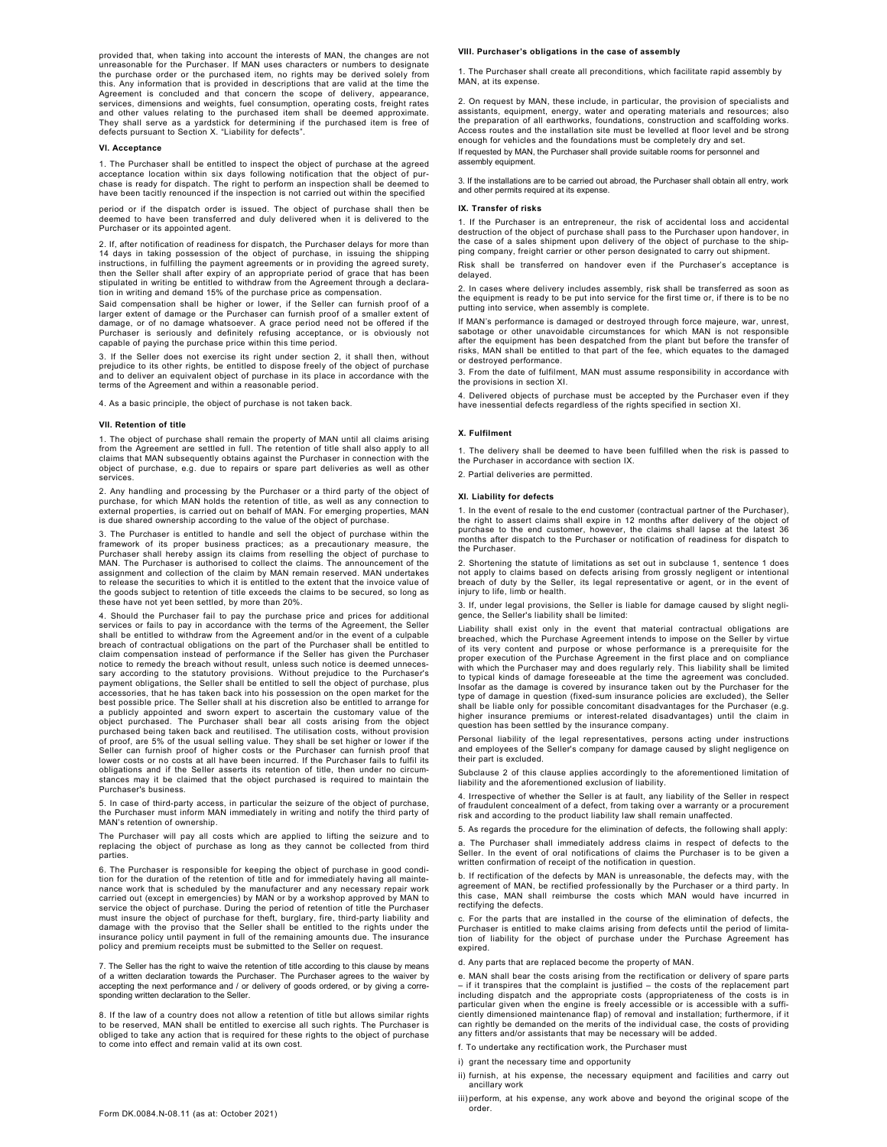provided that, when taking into account the interests of MAN, the changes are not unreasonable for the Purchaser. If MAN uses characters or numbers to designate the purchase order or the purchased item, no rights may be derived solely from this. Any information that is provided in descriptions that are valid at the time the Agreement is concluded and that concern the scope of delivery, appearance, services, dimensions and weights, fuel consumption, operating costs, freight rates and other values relating to the purchased item shall be deemed approximate.<br>They shall serve as a yardstick for determining if the purchased item is free of<br>defects pursuant to Section X. "Liability for defects".

### VI. Acceptance

1. The Purchaser shall be entitled to inspect the object of purchase at the agreed acceptance location within six days following notification that the object of pur-chase is ready for dispatch. The right to perform an inspection shall be deemed to have been tacitly renounced if the inspection is not carried out within the specified

period or if the dispatch order is issued. The object of purchase shall then be deemed to have been transferred and duly delivered when it is delivered to the Purchaser or its appointed agent.

2. If, after notification of readiness for dispatch, the Purchaser delays for more than<br>14 days in taking possession of the object of purchase, in issuing the shipping<br>instructions, in fulfilling the payment agreements or then the Seller shall after expiry of an appropriate period of grace that has been stipulated in writing be entitled to withdraw from the Agreement through a declaration in writing and demand 15% of the purchase price as compensation.

Said compensation shall be higher or lower, if the Seller can furnish proof of a<br>larger extent of damage or the Purchaser can furnish proof of a smaller extent of<br>damage, or of no damage whatsoever. A grace period need not capable of paying the purchase price within this time period.

3. If the Seller does not exercise its right under section 2, it shall then, without prejudice to its other rights, be entitled to dispose freely of the object of purchase and to deliver an equivalent object of purchase in its place in accordance with the terms of the Agreement and within a reasonable period.

4. As a basic principle, the object of purchase is not taken back.

### VII. Retention of title

1. The object of purchase shall remain the property of MAN until all claims arising from the Agreement are settled in full. The retention of title shall also apply to all claims that MAN subsequently obtains against the Purchaser in connection with the object of purchase, e.g. due to repairs or spare part deliveries as well as other services.

2. Any handling and processing by the Purchaser or a third party of the object of purchase, for which MAN holds the retention of title, as well as any connection to external properties, is carried out on behalf of MAN. For emerging properties, MAN is due shared ownership according to the value of the object of purchase.

3. The Purchaser is entitled to handle and sell the object of purchase within the framework of its proper business practices; as a precautionary measure, the<br>Purchaser shall hereby assign its claims from reselling the object of purchase to<br>MAN. The Purchaser is authorised to collect the claims. The anno assignment and collection of the claim by MAN remain reserved. MAN undertakes to release the securities to which it is entitled to the extent that the invoice value of the goods subject to retention of title exceeds the claims to be secured, so long as these have not yet been settled, by more than 20%.

4. Should the Purchaser fail to pay the purchase price and prices for additional services or fails to pay in accordance with the terms of the Agreement, the Seller shall be entitled to withdraw from the Agreement and/or in the event of a culpable breach of contractual obligations on the part of the Purchaser shall be entitled to claim compensation instead of performance if the Seller has given the Purchaser notice to remedy the breach without result, unless such notice is deemed unneces-sary according to the statutory provisions. Without prejudice to the Purchaser's payment obligations, the Seller shall be entitled to sell the object of purchase, plus accessories, that he has taken back into his possession on the open market for the best possible price. The Seller shall at his discretion also be entitled to arrange for a publicly appointed and sworn expert to ascertain the customary value of the object purchased. The Purchaser shall bear all costs arising from the object purchased being taken back and reutilised. The utilisation costs, without provision of proof, are 5% of the usual selling value. They shall be set higher or lower if the Seller can furnish proof of higher costs or the Purchaser can furnish proof that lower costs or no costs at all have been incurred. If the Purchaser fails to fulfil its obligations and if the Seller asserts its retention of title, then under no circumstances may it be claimed that the object purchased is required to maintain the Purchaser's business.

5. In case of third-party access, in particular the seizure of the object of purchase, the Purchaser must inform MAN immediately in writing and notify the third party of MAN's retention of ownership.

The Purchaser will pay all costs which are applied to lifting the seizure and to replacing the object of purchase as long as they cannot be collected from third parties.

6. The Purchaser is responsible for keeping the object of purchase in good condi-tion for the duration of the retention of title and for immediately having all maintenance work that is scheduled by the manufacturer and any necessary repair work carried out (except in emergencies) by MAN or by a workshop approved by MAN to service the object of purchase. During the period of retention of title the Purchaser<br>must insure the object of purchase for theft, burglary, fire, third-party liability and<br>damage with the proviso that the Seller shall be insurance policy until payment in full of the remaining amounts due. The insurance policy and premium receipts must be submitted to the Seller on request.

7. The Seller has the right to waive the retention of title according to this clause by means of a written declaration towards the Purchaser. The Purchaser agrees to the waiver by accepting the next performance and / or delivery of goods ordered, or by giving a corresponding written declaration to the Seller.

8. If the law of a country does not allow a retention of title but allows similar rights to be reserved, MAN shall be entitled to exercise all such rights. The Purchaser is obliged to take any action that is required for these rights to the object of purchase to come into effect and remain valid at its own cost.

#### VIII. Purchaser's obligations in the case of assembly

1. The Purchaser shall create all preconditions, which facilitate rapid assembly by MAN, at its expense.

2. On request by MAN, these include, in particular, the provision of specialists and assistants, equipment, energy, water and operating materials and resources; also the preparation of all earthworks, foundations, construction and scaffolding works. Access routes and the installation site must be levelled at floor level and be strong enough for vehicles and the foundations must be completely dry and set. If requested by MAN, the Purchaser shall provide suitable rooms for personnel and assembly equipment.

3. If the installations are to be carried out abroad, the Purchaser shall obtain all entry, work and other permits required at its expense.

#### IX. Transfer of risks

1. If the Purchaser is an entrepreneur, the risk of accidental loss and accidental destruction of the object of purchase shall pass to the Purchaser upon handover, in the case of a sales shipment upon delivery of the object of purchase to the shipping company, freight carrier or other person designated to carry out shipment.

Risk shall be transferred on handover even if the Purchaser's acceptance is delayed.

2. In cases where delivery includes assembly, risk shall be transferred as soon as the equipment is ready to be put into service for the first time or, if there is to be no putting into service, when assembly is complete.

If MAN's performance is damaged or destroyed through force majeure, war, unrest, sabotage or other unavoidable circumstances for which MAN is not responsible after the equipment has been despatched from the plant but before the transfer of risks, MAN shall be entitled to that part of the fee, which equates to the damaged or destroyed performance.

3. From the date of fulfilment, MAN must assume responsibility in accordance with the provisions in section XI.

4. Delivered objects of purchase must be accepted by the Purchaser even if they have inessential defects regardless of the rights specified in section XI.

## X. Fulfilment

1. The delivery shall be deemed to have been fulfilled when the risk is passed to the Purchaser in accordance with section IX.

# 2. Partial deliveries are permitted.

## XI. Liability for defects

1. In the event of resale to the end customer (contractual partner of the Purchaser), the right to assert claims shall expire in 12 months after delivery of the object of purchase to the end customer, however, the claims shall lapse at the latest 36 months after dispatch to the Purchaser or notification of readiness for dispatch to the Purchaser.

2. Shortening the statute of limitations as set out in subclause 1, sentence 1 does not apply to claims based on defects arising from grossly negligent or intentional breach of duty by the Seller, its legal representative or agent, or in the event of injury to life, limb or health.

3. If, under legal provisions, the Seller is liable for damage caused by slight negligence, the Seller's liability shall be limited:

Liability shall exist only in the event that material contractual obligations are breached, which the Purchase Agreement intends to impose on the Seller by virtue of its very content and purpose or whose performance is a prerequisite for the proper execution of the Purchase Agreement in the first place and on compliance with which the Purchaser may and does regularly rely. This liability shall be limited to typical kinds of damage foreseeable at the time the agreement was concluded. Insofar as the damage is covered by insurance taken out by the Purchaser for the type of damage in question (fixed-sum insurance policies are excluded), the Seller shall be liable only for possible concomitant disadvantages for the Purchaser (e.g. higher insurance premiums or interest-related disadvantages) until the claim in question has been settled by the insurance company

Personal liability of the legal representatives, persons acting under instructions and employees of the Seller's company for damage caused by slight negligence on their part is excluded.

Subclause 2 of this clause applies accordingly to the aforementioned limitation of liability and the aforementioned exclusion of liability.

4. Irrespective of whether the Seller is at fault, any liability of the Seller in respect of fraudulent concealment of a defect, from taking over a warranty or a procurement risk and according to the product liability law shall remain unaffected.

5. As regards the procedure for the elimination of defects, the following shall apply:

a. The Purchaser shall immediately address claims in respect of defects to the Seller. In the event of oral notifications of claims the Purchaser is to be given a written confirmation of receipt of the notification in question.

b. If rectification of the defects by MAN is unreasonable, the defects may, with the agreement of MAN, be rectified professionally by the Purchaser or a third party. In this case, MAN shall reimburse the costs which MAN would have incurred in rectifying the defects.

c. For the parts that are installed in the course of the elimination of defects, the Purchaser is entitled to make claims arising from defects until the period of limitais entitled to make claims arising from defects until the period of limitation of liability for the object of purchase under the Purchase Agreement has expired.

d. Any parts that are replaced become the property of MAN.

e. MAN shall bear the costs arising from the rectification or delivery of spare parts – if it transpires that the complaint is justified – the costs of the replacement part including dispatch and the appropriate costs (appropriateness of the costs is in particular given when the engine is freely accessible or is accessible with a sufficiently dimensioned maintenance flap) of removal and installation; furthermore, if it can rightly be demanded on the merits of the individual case, the costs of providing any fitters and/or assistants that may be necessary will be added.

f. To undertake any rectification work, the Purchaser must

- i) grant the necessary time and opportunity
- ii) furnish, at his expense, the necessary equipment and facilities and carry out ancillary work
- iii) perform, at his expense, any work above and beyond the original scope of the .<br>order.